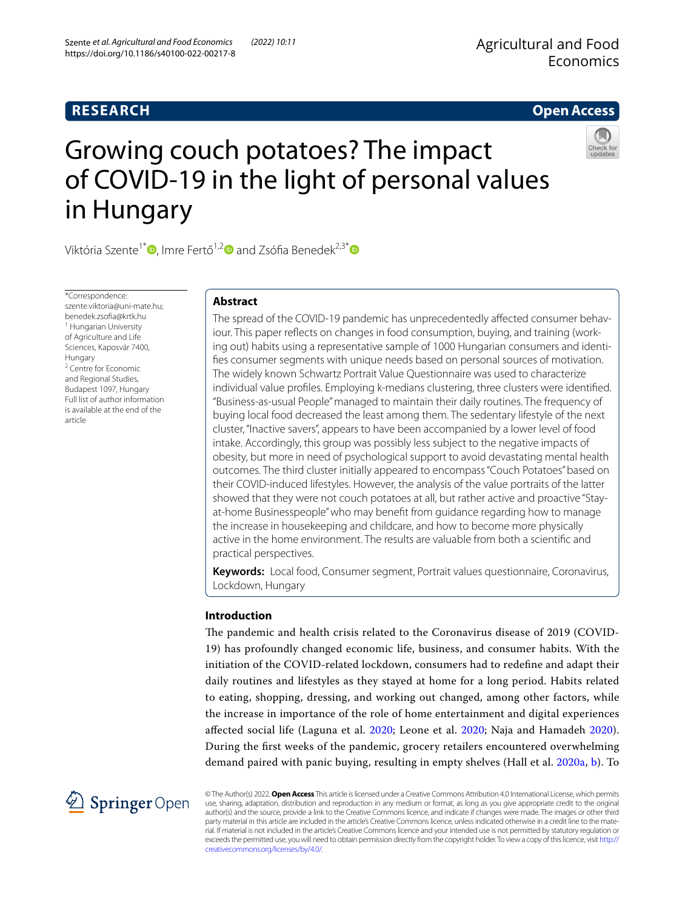# **RESEARCH**

# **Open Access**



# Growing couch potatoes? The impact of COVID-19 in the light of personal values in Hungary

Viktória Szente<sup>1\*</sup> [,](http://orcid.org/0000-0001-5446-8280) Imre Fertő<sup>1,[2](https://orcid.org/0000-0002-3742-5964)</sup> and Zsófia Benedek<sup>2,3[\\*](https://orcid.org/0000-0003-3358-0702)</sup> and Zsófia Benedek<sup>2,3\*</sup> and Zsófia Benedek<sup>2,3\*</sup> and Zsófia Benedek<sup>2,3\*</sup> and Zsófia Benedek<sup>2,3\*</sup> and Zsófia Benedek<sup>2,3\*</sup> and Zsófia Benedek<sup>2,3\*</sup> and Zsóf

\*Correspondence: szente viktoria@uni-mate.hu; benedek.zsofa@krtk.hu <sup>1</sup> Hungarian University of Agriculture and Life Sciences, Kaposvár 7400, Hungary 2 Centre for Economic and Regional Studies, Budapest 1097, Hungary Full list of author information is available at the end of the article

# **Abstract**

The spread of the COVID-19 pandemic has unprecedentedly affected consumer behaviour. This paper reflects on changes in food consumption, buying, and training (working out) habits using a representative sample of 1000 Hungarian consumers and identifes consumer segments with unique needs based on personal sources of motivation. The widely known Schwartz Portrait Value Questionnaire was used to characterize individual value profles. Employing k-medians clustering, three clusters were identifed. "Business-as-usual People" managed to maintain their daily routines. The frequency of buying local food decreased the least among them. The sedentary lifestyle of the next cluster, "Inactive savers", appears to have been accompanied by a lower level of food intake. Accordingly, this group was possibly less subject to the negative impacts of obesity, but more in need of psychological support to avoid devastating mental health outcomes. The third cluster initially appeared to encompass "Couch Potatoes" based on their COVID-induced lifestyles. However, the analysis of the value portraits of the latter showed that they were not couch potatoes at all, but rather active and proactive "Stayat-home Businesspeople" who may beneft from guidance regarding how to manage the increase in housekeeping and childcare, and how to become more physically active in the home environment. The results are valuable from both a scientifc and practical perspectives.

**Keywords:** Local food, Consumer segment, Portrait values questionnaire, Coronavirus, Lockdown, Hungary

# **Introduction**

The pandemic and health crisis related to the Coronavirus disease of 2019 (COVID-19) has profoundly changed economic life, business, and consumer habits. With the initiation of the COVID-related lockdown, consumers had to redefne and adapt their daily routines and lifestyles as they stayed at home for a long period. Habits related to eating, shopping, dressing, and working out changed, among other factors, while the increase in importance of the role of home entertainment and digital experiences afected social life (Laguna et al. [2020;](#page-16-0) Leone et al. [2020](#page-16-1); Naja and Hamadeh [2020](#page-16-2)). During the frst weeks of the pandemic, grocery retailers encountered overwhelming demand paired with panic buying, resulting in empty shelves (Hall et al. [2020a](#page-16-3), [b](#page-16-4)). To



© The Author(s) 2022. **Open Access** This article is licensed under a Creative Commons Attribution 4.0 International License, which permits use, sharing, adaptation, distribution and reproduction in any medium or format, as long as you give appropriate credit to the original author(s) and the source, provide a link to the Creative Commons licence, and indicate if changes were made. The images or other third party material in this article are included in the article's Creative Commons licence, unless indicated otherwise in a credit line to the material. If material is not included in the article's Creative Commons licence and your intended use is not permitted by statutory regulation or exceeds the permitted use, you will need to obtain permission directly from the copyright holder. To view a copy of this licence, visit [http://](http://creativecommons.org/licenses/by/4.0/) [creativecommons.org/licenses/by/4.0/.](http://creativecommons.org/licenses/by/4.0/)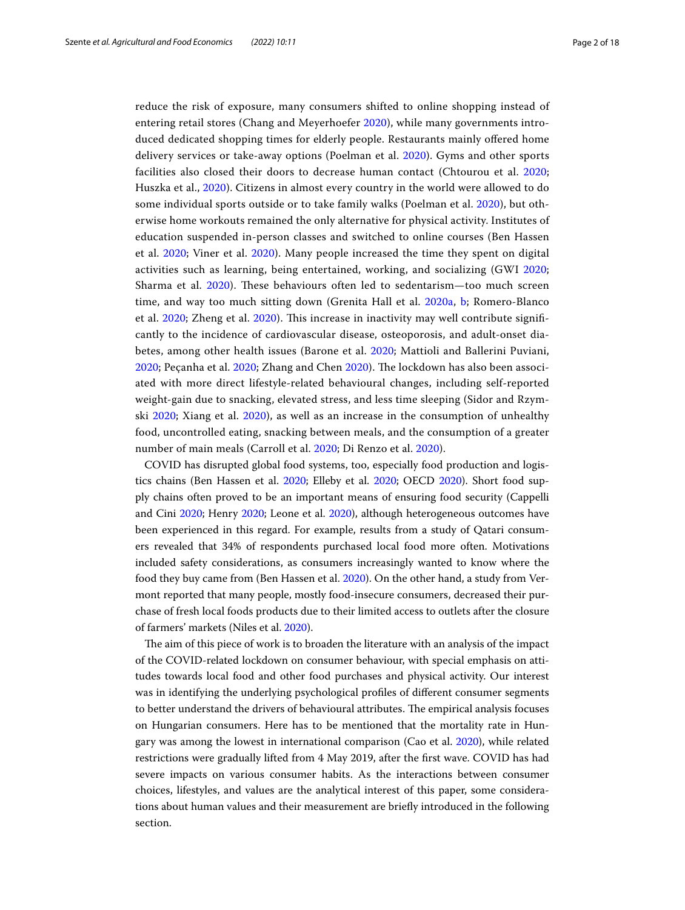reduce the risk of exposure, many consumers shifted to online shopping instead of entering retail stores (Chang and Meyerhoefer [2020](#page-15-0)), while many governments introduced dedicated shopping times for elderly people. Restaurants mainly ofered home delivery services or take-away options (Poelman et al. [2020\)](#page-16-5). Gyms and other sports facilities also closed their doors to decrease human contact (Chtourou et al. [2020](#page-15-1); Huszka et al., [2020\)](#page-16-6). Citizens in almost every country in the world were allowed to do some individual sports outside or to take family walks (Poelman et al. [2020\)](#page-16-5), but otherwise home workouts remained the only alternative for physical activity. Institutes of education suspended in-person classes and switched to online courses (Ben Hassen et al. [2020](#page-15-2); Viner et al. [2020\)](#page-17-0). Many people increased the time they spent on digital activities such as learning, being entertained, working, and socializing (GWI [2020](#page-16-7); Sharma et al. [2020\)](#page-17-1). These behaviours often led to sedentarism—too much screen time, and way too much sitting down (Grenita Hall et al. [2020a](#page-16-3), [b;](#page-16-4) Romero-Blanco et al. [2020](#page-16-8); Zheng et al. [2020\)](#page-17-2). Tis increase in inactivity may well contribute signifcantly to the incidence of cardiovascular disease, osteoporosis, and adult-onset diabetes, among other health issues (Barone et al. [2020;](#page-15-3) Mattioli and Ballerini Puviani, [2020;](#page-16-10) Peçanha et al. 2020; Zhang and Chen [2020\)](#page-17-3). The lockdown has also been associated with more direct lifestyle-related behavioural changes, including self-reported weight-gain due to snacking, elevated stress, and less time sleeping (Sidor and Rzymski [2020;](#page-17-4) Xiang et al. [2020\)](#page-17-5), as well as an increase in the consumption of unhealthy food, uncontrolled eating, snacking between meals, and the consumption of a greater number of main meals (Carroll et al. [2020](#page-15-4); Di Renzo et al. [2020](#page-15-5)).

COVID has disrupted global food systems, too, especially food production and logistics chains (Ben Hassen et al. [2020](#page-15-2); Elleby et al. [2020;](#page-15-6) OECD [2020\)](#page-16-11). Short food supply chains often proved to be an important means of ensuring food security (Cappelli and Cini [2020;](#page-15-7) Henry [2020;](#page-16-12) Leone et al. [2020\)](#page-16-1), although heterogeneous outcomes have been experienced in this regard. For example, results from a study of Qatari consumers revealed that 34% of respondents purchased local food more often. Motivations included safety considerations, as consumers increasingly wanted to know where the food they buy came from (Ben Hassen et al. [2020\)](#page-15-2). On the other hand, a study from Vermont reported that many people, mostly food-insecure consumers, decreased their purchase of fresh local foods products due to their limited access to outlets after the closure of farmers' markets (Niles et al. [2020\)](#page-16-13).

The aim of this piece of work is to broaden the literature with an analysis of the impact of the COVID-related lockdown on consumer behaviour, with special emphasis on attitudes towards local food and other food purchases and physical activity. Our interest was in identifying the underlying psychological profles of diferent consumer segments to better understand the drivers of behavioural attributes. The empirical analysis focuses on Hungarian consumers. Here has to be mentioned that the mortality rate in Hungary was among the lowest in international comparison (Cao et al. [2020](#page-15-8)), while related restrictions were gradually lifted from 4 May 2019, after the frst wave. COVID has had severe impacts on various consumer habits. As the interactions between consumer choices, lifestyles, and values are the analytical interest of this paper, some considerations about human values and their measurement are briefy introduced in the following section.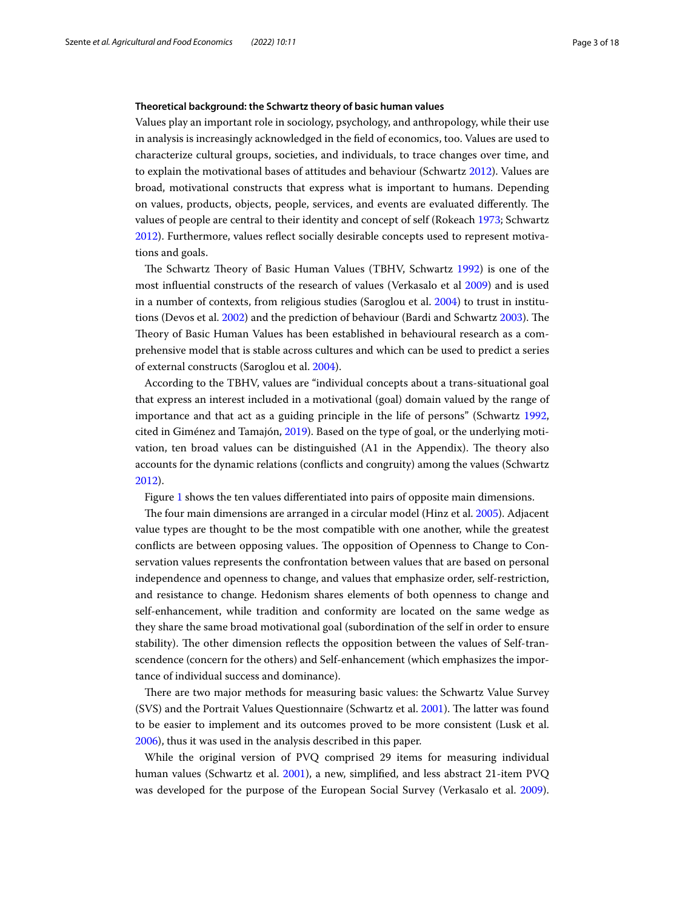## **Theoretical background: the Schwartz theory of basic human values**

Values play an important role in sociology, psychology, and anthropology, while their use in analysis is increasingly acknowledged in the feld of economics, too. Values are used to characterize cultural groups, societies, and individuals, to trace changes over time, and to explain the motivational bases of attitudes and behaviour (Schwartz [2012\)](#page-17-6). Values are broad, motivational constructs that express what is important to humans. Depending on values, products, objects, people, services, and events are evaluated differently. The values of people are central to their identity and concept of self (Rokeach [1973](#page-16-14); Schwartz [2012](#page-17-6)). Furthermore, values refect socially desirable concepts used to represent motivations and goals.

The Schwartz Theory of Basic Human Values (TBHV, Schwartz [1992](#page-17-7)) is one of the most infuential constructs of the research of values (Verkasalo et al [2009](#page-17-8)) and is used in a number of contexts, from religious studies (Saroglou et al. [2004\)](#page-17-9) to trust in institu-tions (Devos et al. [2002\)](#page-15-9) and the prediction of behaviour (Bardi and Schwartz [2003](#page-15-10)). The Theory of Basic Human Values has been established in behavioural research as a comprehensive model that is stable across cultures and which can be used to predict a series of external constructs (Saroglou et al. [2004\)](#page-17-9).

According to the TBHV, values are "individual concepts about a trans-situational goal that express an interest included in a motivational (goal) domain valued by the range of importance and that act as a guiding principle in the life of persons" (Schwartz [1992](#page-17-7), cited in Giménez and Tamajón, [2019](#page-16-15)). Based on the type of goal, or the underlying motivation, ten broad values can be distinguished (A1 in the Appendix). The theory also accounts for the dynamic relations (conficts and congruity) among the values (Schwartz [2012](#page-17-6)).

Figure [1](#page-3-0) shows the ten values diferentiated into pairs of opposite main dimensions.

The four main dimensions are arranged in a circular model (Hinz et al. [2005](#page-16-16)). Adjacent value types are thought to be the most compatible with one another, while the greatest conflicts are between opposing values. The opposition of Openness to Change to Conservation values represents the confrontation between values that are based on personal independence and openness to change, and values that emphasize order, self-restriction, and resistance to change. Hedonism shares elements of both openness to change and self-enhancement, while tradition and conformity are located on the same wedge as they share the same broad motivational goal (subordination of the self in order to ensure stability). The other dimension reflects the opposition between the values of Self-transcendence (concern for the others) and Self-enhancement (which emphasizes the importance of individual success and dominance).

There are two major methods for measuring basic values: the Schwartz Value Survey (SVS) and the Portrait Values Questionnaire (Schwartz et al. [2001\)](#page-17-10). The latter was found to be easier to implement and its outcomes proved to be more consistent (Lusk et al. [2006](#page-16-17)), thus it was used in the analysis described in this paper.

While the original version of PVQ comprised 29 items for measuring individual human values (Schwartz et al. [2001\)](#page-17-10), a new, simplifed, and less abstract 21-item PVQ was developed for the purpose of the European Social Survey (Verkasalo et al. [2009](#page-17-8)).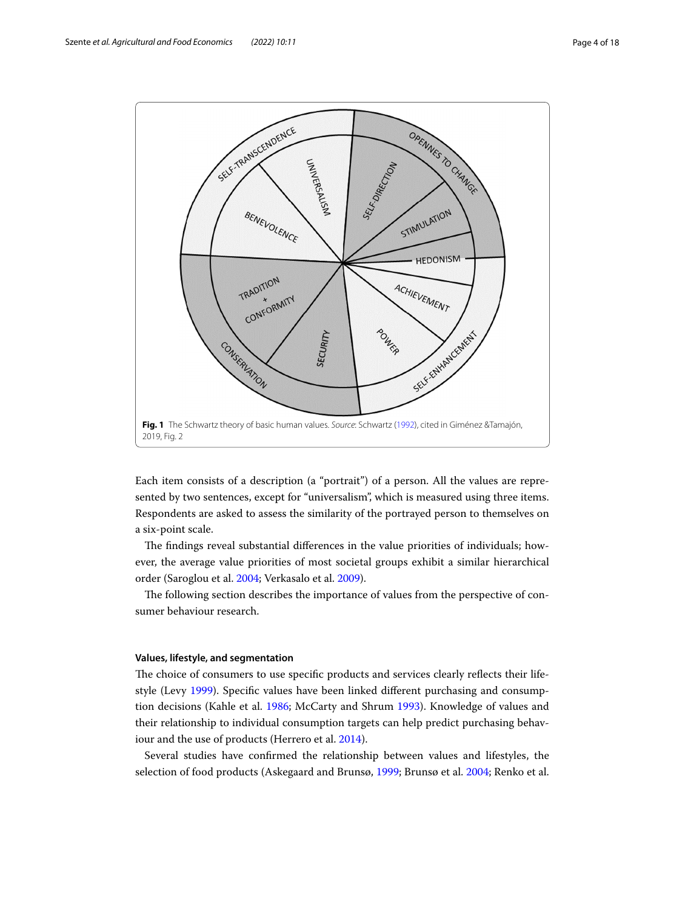

<span id="page-3-0"></span>Each item consists of a description (a "portrait") of a person. All the values are represented by two sentences, except for "universalism", which is measured using three items. Respondents are asked to assess the similarity of the portrayed person to themselves on a six-point scale.

The findings reveal substantial differences in the value priorities of individuals; however, the average value priorities of most societal groups exhibit a similar hierarchical order (Saroglou et al. [2004](#page-17-9); Verkasalo et al. [2009](#page-17-8)).

The following section describes the importance of values from the perspective of consumer behaviour research.

## **Values, lifestyle, and segmentation**

The choice of consumers to use specific products and services clearly reflects their lifestyle (Levy [1999](#page-16-18)). Specifc values have been linked diferent purchasing and consumption decisions (Kahle et al. [1986](#page-16-19); McCarty and Shrum [1993](#page-16-20)). Knowledge of values and their relationship to individual consumption targets can help predict purchasing behaviour and the use of products (Herrero et al. [2014](#page-16-21)).

Several studies have confrmed the relationship between values and lifestyles, the selection of food products (Askegaard and Brunsø, [1999;](#page-15-11) Brunsø et al. [2004](#page-15-12); Renko et al.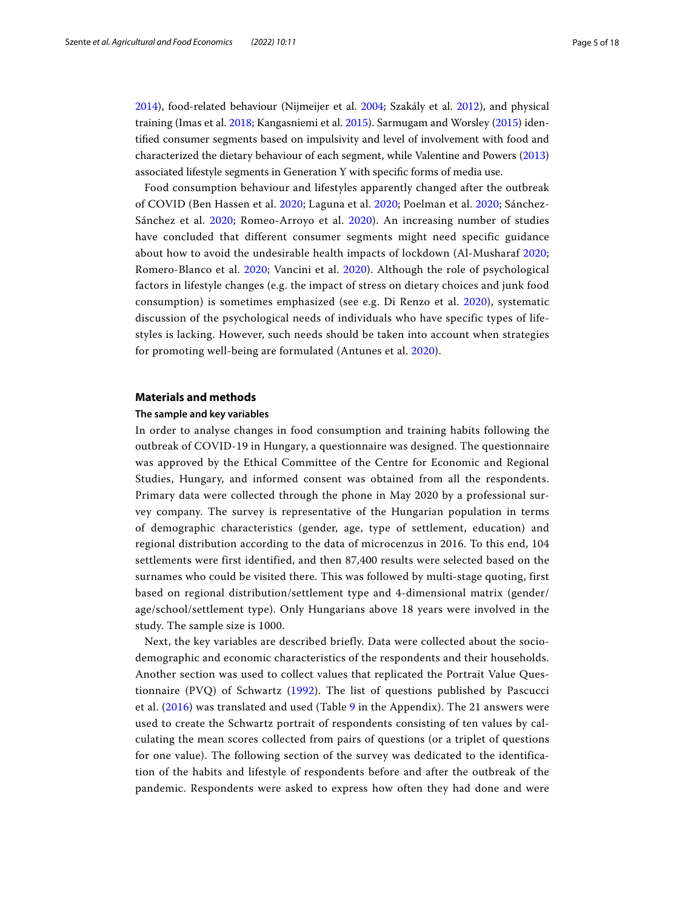[2014](#page-16-22)), food-related behaviour (Nijmeijer et al. [2004;](#page-16-23) Szakály et al. [2012\)](#page-17-11), and physical training (Imas et al. [2018;](#page-16-24) Kangasniemi et al. [2015](#page-16-25)). Sarmugam and Worsley [\(2015\)](#page-17-12) identifed consumer segments based on impulsivity and level of involvement with food and characterized the dietary behaviour of each segment, while Valentine and Powers ([2013](#page-17-13)) associated lifestyle segments in Generation Y with specifc forms of media use.

Food consumption behaviour and lifestyles apparently changed after the outbreak of COVID (Ben Hassen et al. [2020;](#page-15-2) Laguna et al. [2020;](#page-16-0) Poelman et al. [2020](#page-16-5); Sánchez-Sánchez et al. [2020;](#page-17-14) Romeo-Arroyo et al. [2020\)](#page-16-26). An increasing number of studies have concluded that different consumer segments might need specific guidance about how to avoid the undesirable health impacts of lockdown (Al-Musharaf [2020](#page-15-13); Romero-Blanco et al. [2020;](#page-16-8) Vancini et al. [2020\)](#page-17-15). Although the role of psychological factors in lifestyle changes (e.g. the impact of stress on dietary choices and junk food consumption) is sometimes emphasized (see e.g. Di Renzo et al. [2020\)](#page-15-5), systematic discussion of the psychological needs of individuals who have specific types of lifestyles is lacking. However, such needs should be taken into account when strategies for promoting well-being are formulated (Antunes et al. [2020](#page-15-14)).

#### **Materials and methods**

## **The sample and key variables**

In order to analyse changes in food consumption and training habits following the outbreak of COVID-19 in Hungary, a questionnaire was designed. The questionnaire was approved by the Ethical Committee of the Centre for Economic and Regional Studies, Hungary, and informed consent was obtained from all the respondents. Primary data were collected through the phone in May 2020 by a professional survey company. The survey is representative of the Hungarian population in terms of demographic characteristics (gender, age, type of settlement, education) and regional distribution according to the data of microcenzus in 2016. To this end, 104 settlements were first identified, and then 87,400 results were selected based on the surnames who could be visited there. This was followed by multi-stage quoting, first based on regional distribution/settlement type and 4-dimensional matrix (gender/ age/school/settlement type). Only Hungarians above 18 years were involved in the study. The sample size is 1000.

Next, the key variables are described briefly. Data were collected about the sociodemographic and economic characteristics of the respondents and their households. Another section was used to collect values that replicated the Portrait Value Questionnaire (PVQ) of Schwartz ([1992](#page-17-7)). The list of questions published by Pascucci et al. ([2016](#page-16-27)) was translated and used (Table [9](#page-14-0) in the Appendix). The 21 answers were used to create the Schwartz portrait of respondents consisting of ten values by calculating the mean scores collected from pairs of questions (or a triplet of questions for one value). The following section of the survey was dedicated to the identification of the habits and lifestyle of respondents before and after the outbreak of the pandemic. Respondents were asked to express how often they had done and were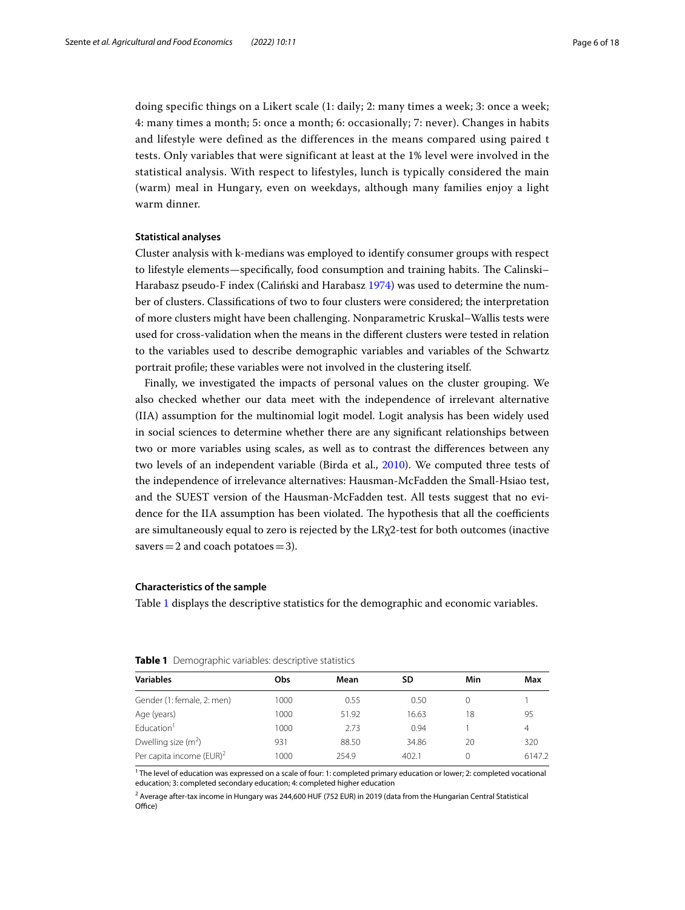doing specific things on a Likert scale (1: daily; 2: many times a week; 3: once a week; 4: many times a month; 5: once a month; 6: occasionally; 7: never). Changes in habits and lifestyle were defined as the differences in the means compared using paired t tests. Only variables that were significant at least at the 1% level were involved in the statistical analysis. With respect to lifestyles, lunch is typically considered the main (warm) meal in Hungary, even on weekdays, although many families enjoy a light warm dinner.

## **Statistical analyses**

Cluster analysis with k-medians was employed to identify consumer groups with respect to lifestyle elements—specifically, food consumption and training habits. The Calinski– Harabasz pseudo-F index (Caliński and Harabasz [1974\)](#page-15-15) was used to determine the number of clusters. Classifcations of two to four clusters were considered; the interpretation of more clusters might have been challenging. Nonparametric Kruskal–Wallis tests were used for cross-validation when the means in the diferent clusters were tested in relation to the variables used to describe demographic variables and variables of the Schwartz portrait profle; these variables were not involved in the clustering itself.

Finally, we investigated the impacts of personal values on the cluster grouping. We also checked whether our data meet with the independence of irrelevant alternative (IIA) assumption for the multinomial logit model. Logit analysis has been widely used in social sciences to determine whether there are any signifcant relationships between two or more variables using scales, as well as to contrast the diferences between any two levels of an independent variable (Birda et al., [2010](#page-15-16)). We computed three tests of the independence of irrelevance alternatives: Hausman-McFadden the Small-Hsiao test, and the SUEST version of the Hausman-McFadden test. All tests suggest that no evidence for the IIA assumption has been violated. The hypothesis that all the coefficients are simultaneously equal to zero is rejected by the LRχ2-test for both outcomes (inactive savers  $=$  2 and coach potatoes  $=$  3).

## **Characteristics of the sample**

Table [1](#page-5-0) displays the descriptive statistics for the demographic and economic variables.

| <b>Variables</b>                     | Obs  | Mean  | SD    | Min | Max    |
|--------------------------------------|------|-------|-------|-----|--------|
| Gender (1: female, 2: men)           | 1000 | 0.55  | 0.50  |     |        |
| Age (years)                          | 1000 | 51.92 | 16.63 | 18  | 95     |
| Education <sup>1</sup>               | 1000 | 2.73  | 0.94  |     | 4      |
| Dwelling size $(m^2)$                | 931  | 88.50 | 34.86 | 20  | 320    |
| Per capita income (EUR) <sup>2</sup> | 1000 | 254.9 | 402.1 | N   | 6147.2 |

<span id="page-5-0"></span>**Table 1** Demographic variables: descriptive statistics

<sup>1</sup> The level of education was expressed on a scale of four: 1: completed primary education or lower; 2: completed vocational education; 3: completed secondary education; 4: completed higher education

<sup>2</sup> Average after-tax income in Hungary was 244,600 HUF (752 EUR) in 2019 (data from the Hungarian Central Statistical Office)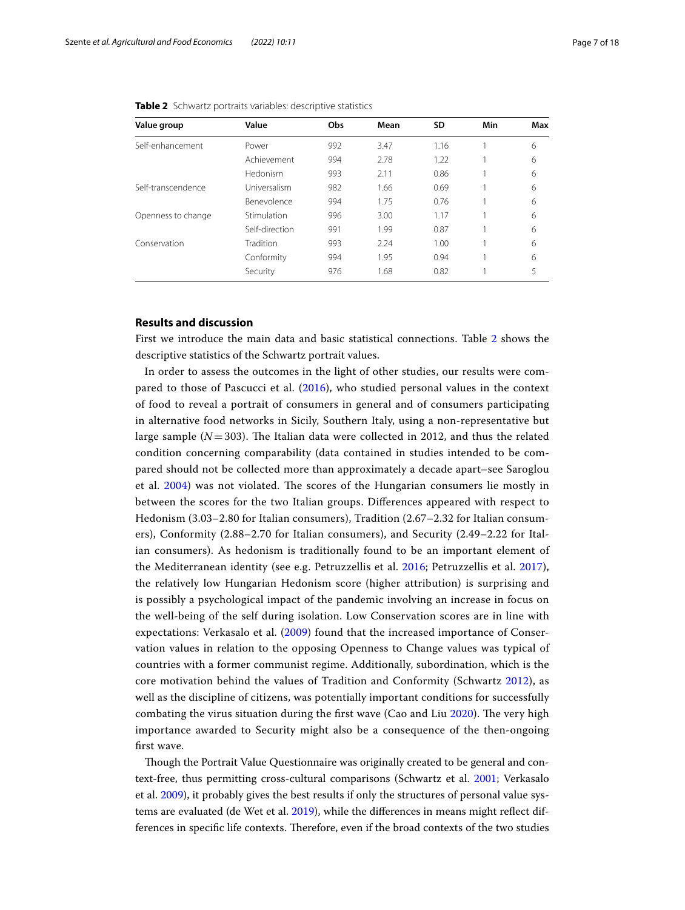| Value group        | Value          | Obs | Mean | <b>SD</b> | Min | Max |
|--------------------|----------------|-----|------|-----------|-----|-----|
| Self-enhancement   | Power          | 992 | 3.47 | 1.16      |     | 6   |
|                    | Achievement    | 994 | 2.78 | 1.22      |     | 6   |
|                    | Hedonism       | 993 | 2.11 | 0.86      |     | 6   |
| Self-transcendence | Universalism   | 982 | 1.66 | 0.69      |     | 6   |
|                    | Benevolence    | 994 | 1.75 | 0.76      |     | 6   |
| Openness to change | Stimulation    | 996 | 3.00 | 1.17      |     | 6   |
|                    | Self-direction | 991 | 1.99 | 0.87      |     | 6   |
| Conservation       | Tradition      | 993 | 2.24 | 1.00      |     | 6   |
|                    | Conformity     | 994 | 1.95 | 0.94      |     | 6   |
|                    | Security       | 976 | 1.68 | 0.82      |     | 5   |

<span id="page-6-0"></span>**Table 2** Schwartz portraits variables: descriptive statistics

# **Results and discussion**

First we introduce the main data and basic statistical connections. Table [2](#page-6-0) shows the descriptive statistics of the Schwartz portrait values.

In order to assess the outcomes in the light of other studies, our results were compared to those of Pascucci et al. ([2016](#page-16-27)), who studied personal values in the context of food to reveal a portrait of consumers in general and of consumers participating in alternative food networks in Sicily, Southern Italy, using a non-representative but large sample  $(N=303)$ . The Italian data were collected in 2012, and thus the related condition concerning comparability (data contained in studies intended to be compared should not be collected more than approximately a decade apart–see Saroglou et al. [2004\)](#page-17-9) was not violated. The scores of the Hungarian consumers lie mostly in between the scores for the two Italian groups. Diferences appeared with respect to Hedonism (3.03–2.80 for Italian consumers), Tradition (2.67–2.32 for Italian consumers), Conformity (2.88–2.70 for Italian consumers), and Security (2.49–2.22 for Italian consumers). As hedonism is traditionally found to be an important element of the Mediterranean identity (see e.g. Petruzzellis et al. [2016](#page-16-28); Petruzzellis et al. [2017](#page-16-29)), the relatively low Hungarian Hedonism score (higher attribution) is surprising and is possibly a psychological impact of the pandemic involving an increase in focus on the well-being of the self during isolation. Low Conservation scores are in line with expectations: Verkasalo et al. [\(2009\)](#page-17-8) found that the increased importance of Conservation values in relation to the opposing Openness to Change values was typical of countries with a former communist regime. Additionally, subordination, which is the core motivation behind the values of Tradition and Conformity (Schwartz [2012](#page-17-6)), as well as the discipline of citizens, was potentially important conditions for successfully combating the virus situation during the first wave (Cao and Liu [2020\)](#page-15-8). The very high importance awarded to Security might also be a consequence of the then-ongoing frst wave.

Though the Portrait Value Questionnaire was originally created to be general and context-free, thus permitting cross-cultural comparisons (Schwartz et al. [2001;](#page-17-10) Verkasalo et al. [2009](#page-17-8)), it probably gives the best results if only the structures of personal value systems are evaluated (de Wet et al. [2019](#page-15-17)), while the diferences in means might refect differences in specific life contexts. Therefore, even if the broad contexts of the two studies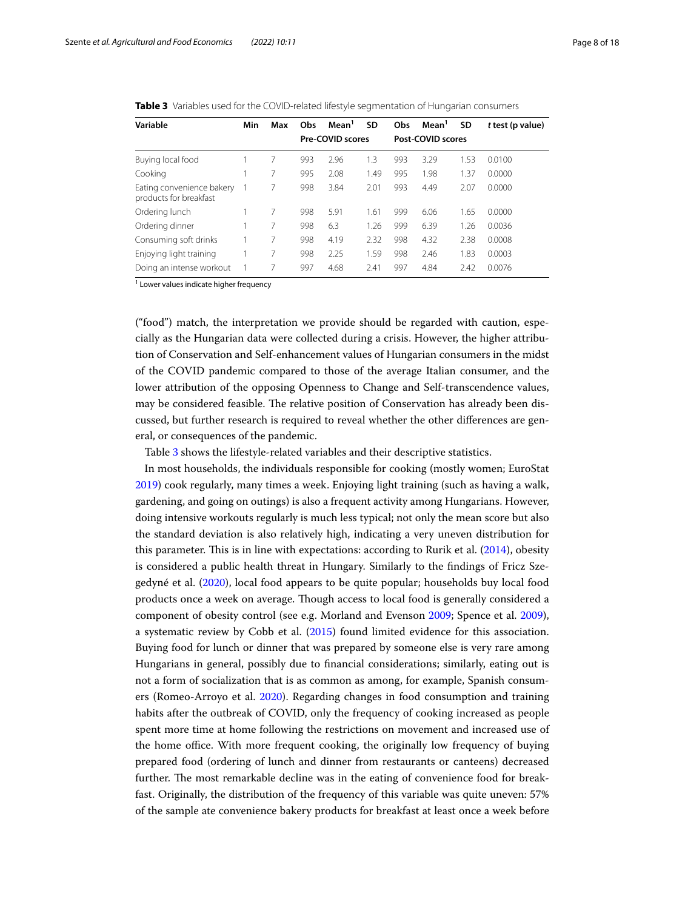<span id="page-7-0"></span>

| Table 3 Variables used for the COVID-related lifestyle segmentation of Hungarian consumers |  |
|--------------------------------------------------------------------------------------------|--|
|--------------------------------------------------------------------------------------------|--|

| Variable                                            | Min | Max | Obs | Mean <sup>1</sup>       | SD   | Obs | Mean <sup>1</sup> | SD   | t test (p value) |
|-----------------------------------------------------|-----|-----|-----|-------------------------|------|-----|-------------------|------|------------------|
|                                                     |     |     |     | <b>Pre-COVID scores</b> |      |     | Post-COVID scores |      |                  |
| Buying local food                                   |     |     | 993 | 2.96                    | 1.3  | 993 | 3.29              | 1.53 | 0.0100           |
| Cooking                                             |     |     | 995 | 2.08                    | 1.49 | 995 | 1.98              | 1.37 | 0.0000           |
| Eating convenience bakery<br>products for breakfast |     |     | 998 | 3.84                    | 2.01 | 993 | 4.49              | 2.07 | 0.0000           |
| Ordering lunch                                      |     |     | 998 | 5.91                    | 1.61 | 999 | 6.06              | 1.65 | 0.0000           |
| Ordering dinner                                     |     |     | 998 | 6.3                     | 1.26 | 999 | 6.39              | 1.26 | 0.0036           |
| Consuming soft drinks                               |     |     | 998 | 4.19                    | 2.32 | 998 | 4.32              | 2.38 | 0.0008           |
| Enjoying light training                             |     |     | 998 | 2.25                    | 1.59 | 998 | 2.46              | 1.83 | 0.0003           |
| Doing an intense workout                            |     |     | 997 | 4.68                    | 2.41 | 997 | 4.84              | 2.42 | 0.0076           |

<sup>1</sup> Lower values indicate higher frequency

("food") match, the interpretation we provide should be regarded with caution, especially as the Hungarian data were collected during a crisis. However, the higher attribution of Conservation and Self-enhancement values of Hungarian consumers in the midst of the COVID pandemic compared to those of the average Italian consumer, and the lower attribution of the opposing Openness to Change and Self-transcendence values, may be considered feasible. The relative position of Conservation has already been discussed, but further research is required to reveal whether the other diferences are general, or consequences of the pandemic.

Table [3](#page-7-0) shows the lifestyle-related variables and their descriptive statistics.

In most households, the individuals responsible for cooking (mostly women; EuroStat [2019](#page-15-18)) cook regularly, many times a week. Enjoying light training (such as having a walk, gardening, and going on outings) is also a frequent activity among Hungarians. However, doing intensive workouts regularly is much less typical; not only the mean score but also the standard deviation is also relatively high, indicating a very uneven distribution for this parameter. This is in line with expectations: according to Rurik et al.  $(2014)$  $(2014)$  $(2014)$ , obesity is considered a public health threat in Hungary. Similarly to the fndings of Fricz Szegedyné et al. [\(2020\)](#page-16-30), local food appears to be quite popular; households buy local food products once a week on average. Tough access to local food is generally considered a component of obesity control (see e.g. Morland and Evenson [2009](#page-16-31); Spence et al. [2009](#page-17-17)), a systematic review by Cobb et al. [\(2015](#page-15-19)) found limited evidence for this association. Buying food for lunch or dinner that was prepared by someone else is very rare among Hungarians in general, possibly due to fnancial considerations; similarly, eating out is not a form of socialization that is as common as among, for example, Spanish consumers (Romeo-Arroyo et al. [2020](#page-16-26)). Regarding changes in food consumption and training habits after the outbreak of COVID, only the frequency of cooking increased as people spent more time at home following the restrictions on movement and increased use of the home office. With more frequent cooking, the originally low frequency of buying prepared food (ordering of lunch and dinner from restaurants or canteens) decreased further. The most remarkable decline was in the eating of convenience food for breakfast. Originally, the distribution of the frequency of this variable was quite uneven: 57% of the sample ate convenience bakery products for breakfast at least once a week before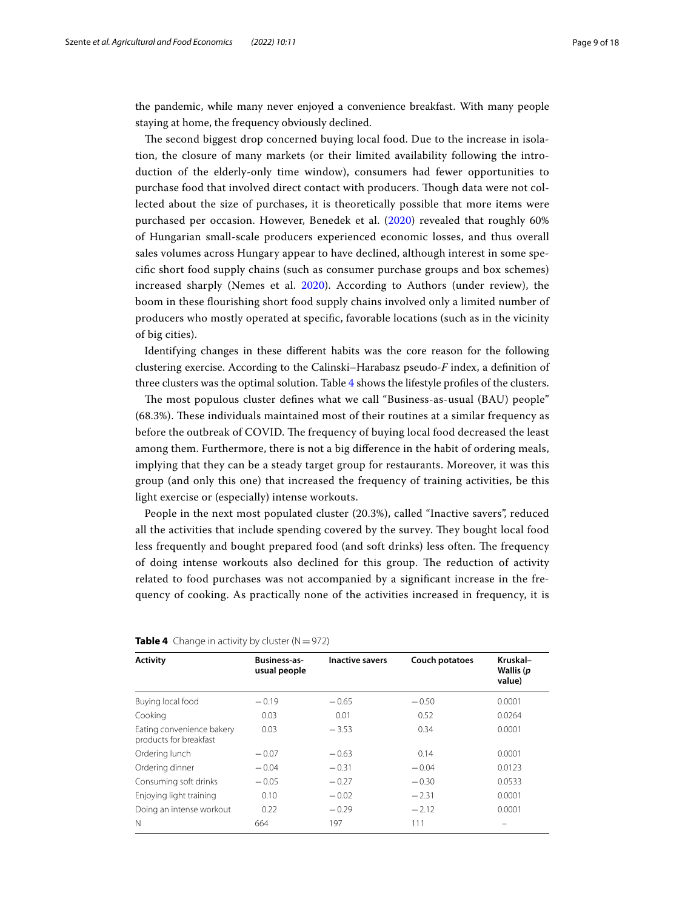the pandemic, while many never enjoyed a convenience breakfast. With many people staying at home, the frequency obviously declined.

The second biggest drop concerned buying local food. Due to the increase in isolation, the closure of many markets (or their limited availability following the introduction of the elderly-only time window), consumers had fewer opportunities to purchase food that involved direct contact with producers. Tough data were not collected about the size of purchases, it is theoretically possible that more items were purchased per occasion. However, Benedek et al. ([2020\)](#page-15-20) revealed that roughly 60% of Hungarian small-scale producers experienced economic losses, and thus overall sales volumes across Hungary appear to have declined, although interest in some specifc short food supply chains (such as consumer purchase groups and box schemes) increased sharply (Nemes et al. [2020](#page-16-32)). According to Authors (under review), the boom in these fourishing short food supply chains involved only a limited number of producers who mostly operated at specifc, favorable locations (such as in the vicinity of big cities).

Identifying changes in these diferent habits was the core reason for the following clustering exercise. According to the Calinski–Harabasz pseudo-*F* index, a defnition of three clusters was the optimal solution. Table [4](#page-8-0) shows the lifestyle profles of the clusters.

The most populous cluster defines what we call "Business-as-usual (BAU) people" (68.3%). These individuals maintained most of their routines at a similar frequency as before the outbreak of COVID. The frequency of buying local food decreased the least among them. Furthermore, there is not a big diference in the habit of ordering meals, implying that they can be a steady target group for restaurants. Moreover, it was this group (and only this one) that increased the frequency of training activities, be this light exercise or (especially) intense workouts.

People in the next most populated cluster (20.3%), called "Inactive savers", reduced all the activities that include spending covered by the survey. They bought local food less frequently and bought prepared food (and soft drinks) less often. The frequency of doing intense workouts also declined for this group. The reduction of activity related to food purchases was not accompanied by a signifcant increase in the frequency of cooking. As practically none of the activities increased in frequency, it is

| <b>Activity</b>                                     | <b>Business-as-</b><br>usual people | <b>Inactive savers</b> | Couch potatoes | Kruskal-<br>Wallis (p<br>value) |
|-----------------------------------------------------|-------------------------------------|------------------------|----------------|---------------------------------|
| Buying local food                                   | $-0.19$                             | $-0.65$                | $-0.50$        | 0.0001                          |
| Cooking                                             | 0.03                                | 0.01                   | 0.52           | 0.0264                          |
| Eating convenience bakery<br>products for breakfast | 0.03                                | $-3.53$                | 0.34           | 0.0001                          |
| Ordering lunch                                      | $-0.07$                             | $-0.63$                | 0.14           | 0.0001                          |
| Ordering dinner                                     | $-0.04$                             | $-0.31$                | $-0.04$        | 0.0123                          |
| Consuming soft drinks                               | $-0.05$                             | $-0.27$                | $-0.30$        | 0.0533                          |
| Enjoying light training                             | 0.10                                | $-0.02$                | $-2.31$        | 0.0001                          |
| Doing an intense workout                            | 0.22                                | $-0.29$                | $-2.12$        | 0.0001                          |
| N                                                   | 664                                 | 197                    | 111            |                                 |

#### <span id="page-8-0"></span>**Table 4** Change in activity by cluster  $(N=972)$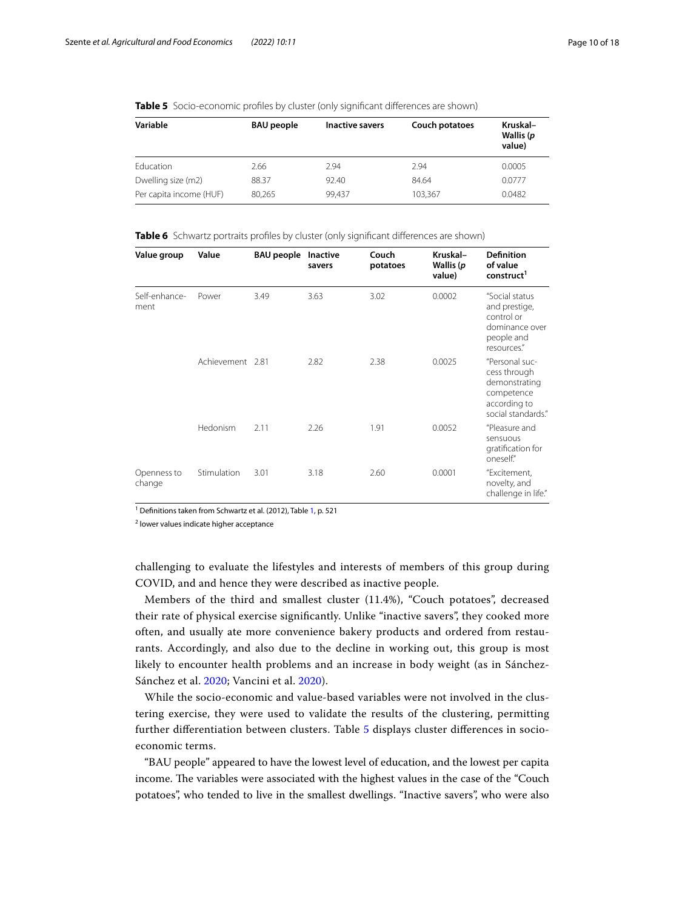## <span id="page-9-0"></span>**Table 5** Socio-economic profiles by cluster (only significant differences are shown)

| Variable                | <b>BAU</b> people | Inactive savers | Couch potatoes | Kruskal-<br>Wallis (p<br>value) |
|-------------------------|-------------------|-----------------|----------------|---------------------------------|
| Education               | 2.66              | 2.94            | 2.94           | 0.0005                          |
| Dwelling size (m2)      | 88.37             | 92.40           | 84.64          | 0.0777                          |
| Per capita income (HUF) | 80.265            | 99.437          | 103,367        | 0.0482                          |

<span id="page-9-1"></span>**Table 6** Schwartz portraits profiles by cluster (only significant differences are shown)

| Value group           | Value            | <b>BAU people</b> Inactive | savers | Couch<br>potatoes | Kruskal-<br>Wallis (p<br>value) | <b>Definition</b><br>of value<br>construct <sup>1</sup>                                             |
|-----------------------|------------------|----------------------------|--------|-------------------|---------------------------------|-----------------------------------------------------------------------------------------------------|
| Self-enhance-<br>ment | Power            | 3.49                       | 3.63   | 3.02              | 0.0002                          | "Social status<br>and prestige,<br>control or<br>dominance over<br>people and<br>resources."        |
|                       | Achievement 2.81 |                            | 2.82   | 2.38              | 0.0025                          | "Personal suc-<br>cess through<br>demonstrating<br>competence<br>according to<br>social standards." |
|                       | Hedonism         | 2.11                       | 2.26   | 1.91              | 0.0052                          | "Pleasure and<br>sensuous<br>gratification for<br>oneself."                                         |
| Openness to<br>change | Stimulation      | 3.01                       | 3.18   | 2.60              | 0.0001                          | "Excitement,<br>novelty, and<br>challenge in life."                                                 |

<sup>[1](#page-5-0)</sup> Definitions taken from Schwartz et al. (2012), Table 1, p. 521

<sup>2</sup> lower values indicate higher acceptance

challenging to evaluate the lifestyles and interests of members of this group during COVID, and and hence they were described as inactive people.

Members of the third and smallest cluster (11.4%), "Couch potatoes", decreased their rate of physical exercise signifcantly. Unlike "inactive savers", they cooked more often, and usually ate more convenience bakery products and ordered from restaurants. Accordingly, and also due to the decline in working out, this group is most likely to encounter health problems and an increase in body weight (as in Sánchez-Sánchez et al. [2020](#page-17-14); Vancini et al. [2020\)](#page-17-15).

While the socio-economic and value-based variables were not involved in the clustering exercise, they were used to validate the results of the clustering, permitting further diferentiation between clusters. Table [5](#page-9-0) displays cluster diferences in socioeconomic terms.

"BAU people" appeared to have the lowest level of education, and the lowest per capita income. The variables were associated with the highest values in the case of the "Couch potatoes", who tended to live in the smallest dwellings. "Inactive savers", who were also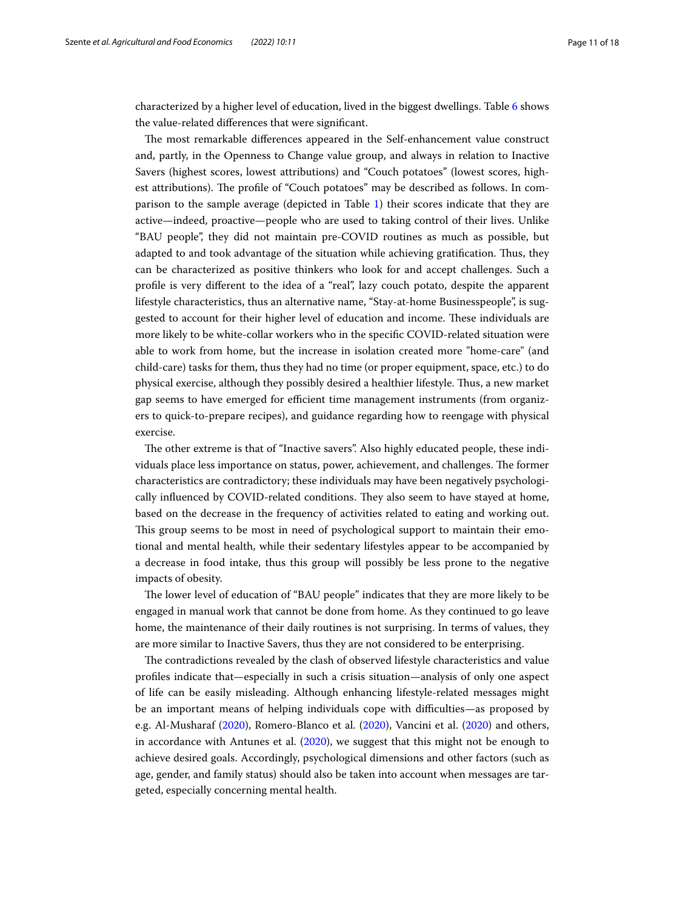characterized by a higher level of education, lived in the biggest dwellings. Table [6](#page-9-1) shows the value-related diferences that were signifcant.

The most remarkable differences appeared in the Self-enhancement value construct and, partly, in the Openness to Change value group, and always in relation to Inactive Savers (highest scores, lowest attributions) and "Couch potatoes" (lowest scores, highest attributions). The profile of "Couch potatoes" may be described as follows. In comparison to the sample average (depicted in Table [1](#page-5-0)) their scores indicate that they are active—indeed, proactive—people who are used to taking control of their lives. Unlike "BAU people", they did not maintain pre-COVID routines as much as possible, but adapted to and took advantage of the situation while achieving gratification. Thus, they can be characterized as positive thinkers who look for and accept challenges. Such a profle is very diferent to the idea of a "real", lazy couch potato, despite the apparent lifestyle characteristics, thus an alternative name, "Stay-at-home Businesspeople", is suggested to account for their higher level of education and income. These individuals are more likely to be white-collar workers who in the specifc COVID-related situation were able to work from home, but the increase in isolation created more "home-care" (and child-care) tasks for them, thus they had no time (or proper equipment, space, etc.) to do physical exercise, although they possibly desired a healthier lifestyle. Tus, a new market gap seems to have emerged for efficient time management instruments (from organizers to quick-to-prepare recipes), and guidance regarding how to reengage with physical exercise.

The other extreme is that of "Inactive savers". Also highly educated people, these individuals place less importance on status, power, achievement, and challenges. The former characteristics are contradictory; these individuals may have been negatively psychologically influenced by COVID-related conditions. They also seem to have stayed at home, based on the decrease in the frequency of activities related to eating and working out. Tis group seems to be most in need of psychological support to maintain their emotional and mental health, while their sedentary lifestyles appear to be accompanied by a decrease in food intake, thus this group will possibly be less prone to the negative impacts of obesity.

The lower level of education of "BAU people" indicates that they are more likely to be engaged in manual work that cannot be done from home. As they continued to go leave home, the maintenance of their daily routines is not surprising. In terms of values, they are more similar to Inactive Savers, thus they are not considered to be enterprising.

The contradictions revealed by the clash of observed lifestyle characteristics and value profles indicate that—especially in such a crisis situation—analysis of only one aspect of life can be easily misleading. Although enhancing lifestyle-related messages might be an important means of helping individuals cope with difficulties—as proposed by e.g. Al-Musharaf [\(2020](#page-15-13)), Romero-Blanco et al. ([2020](#page-16-8)), Vancini et al. ([2020\)](#page-17-15) and others, in accordance with Antunes et al. [\(2020\)](#page-15-14), we suggest that this might not be enough to achieve desired goals. Accordingly, psychological dimensions and other factors (such as age, gender, and family status) should also be taken into account when messages are targeted, especially concerning mental health.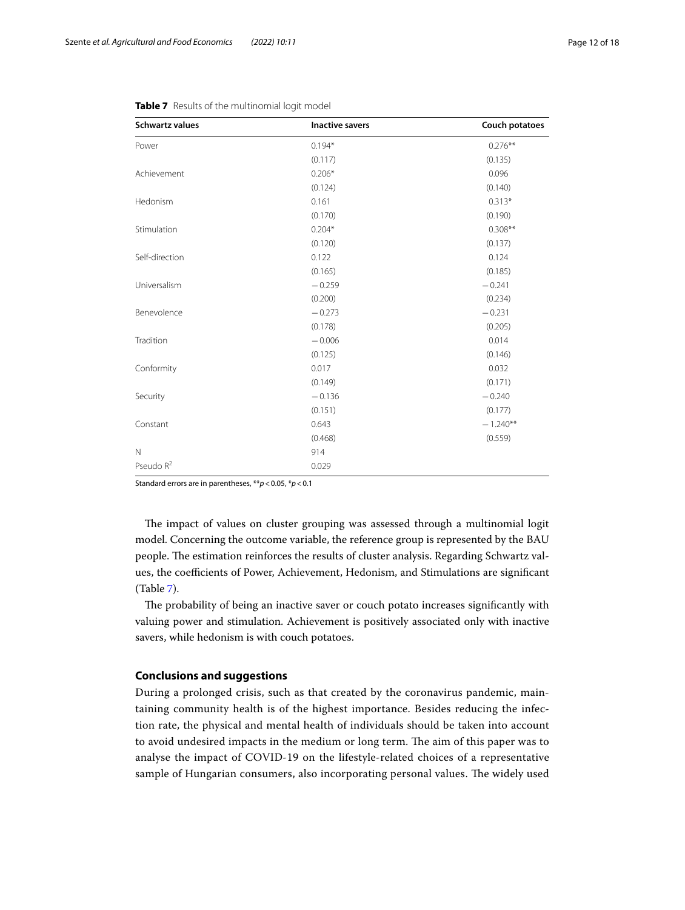| <b>Schwartz values</b> | <b>Inactive savers</b> | Couch potatoes |
|------------------------|------------------------|----------------|
| Power                  | $0.194*$               | $0.276**$      |
|                        | (0.117)                | (0.135)        |
| Achievement            | $0.206*$               | 0.096          |
|                        | (0.124)                | (0.140)        |
| Hedonism               | 0.161                  | $0.313*$       |
|                        | (0.170)                | (0.190)        |
| Stimulation            | $0.204*$               | $0.308**$      |
|                        | (0.120)                | (0.137)        |
| Self-direction         | 0.122                  | 0.124          |
|                        | (0.165)                | (0.185)        |
| Universalism           | $-0.259$               | $-0.241$       |
|                        | (0.200)                | (0.234)        |
| Benevolence            | $-0.273$               | $-0.231$       |
|                        | (0.178)                | (0.205)        |
| Tradition              | $-0.006$               | 0.014          |
|                        | (0.125)                | (0.146)        |
| Conformity             | 0.017                  | 0.032          |
|                        | (0.149)                | (0.171)        |
| Security               | $-0.136$               | $-0.240$       |
|                        | (0.151)                | (0.177)        |
| Constant               | 0.643                  | $-1.240**$     |
|                        | (0.468)                | (0.559)        |
| $\mathbb N$            | 914                    |                |
| Pseudo $R^2$           | 0.029                  |                |

<span id="page-11-0"></span>

Standard errors are in parentheses, \*\**p*<0.05, \**p*<0.1

The impact of values on cluster grouping was assessed through a multinomial logit model. Concerning the outcome variable, the reference group is represented by the BAU people. The estimation reinforces the results of cluster analysis. Regarding Schwartz values, the coefficients of Power, Achievement, Hedonism, and Stimulations are significant (Table [7](#page-11-0)).

The probability of being an inactive saver or couch potato increases significantly with valuing power and stimulation. Achievement is positively associated only with inactive savers, while hedonism is with couch potatoes.

## **Conclusions and suggestions**

During a prolonged crisis, such as that created by the coronavirus pandemic, maintaining community health is of the highest importance. Besides reducing the infection rate, the physical and mental health of individuals should be taken into account to avoid undesired impacts in the medium or long term. The aim of this paper was to analyse the impact of COVID-19 on the lifestyle-related choices of a representative sample of Hungarian consumers, also incorporating personal values. The widely used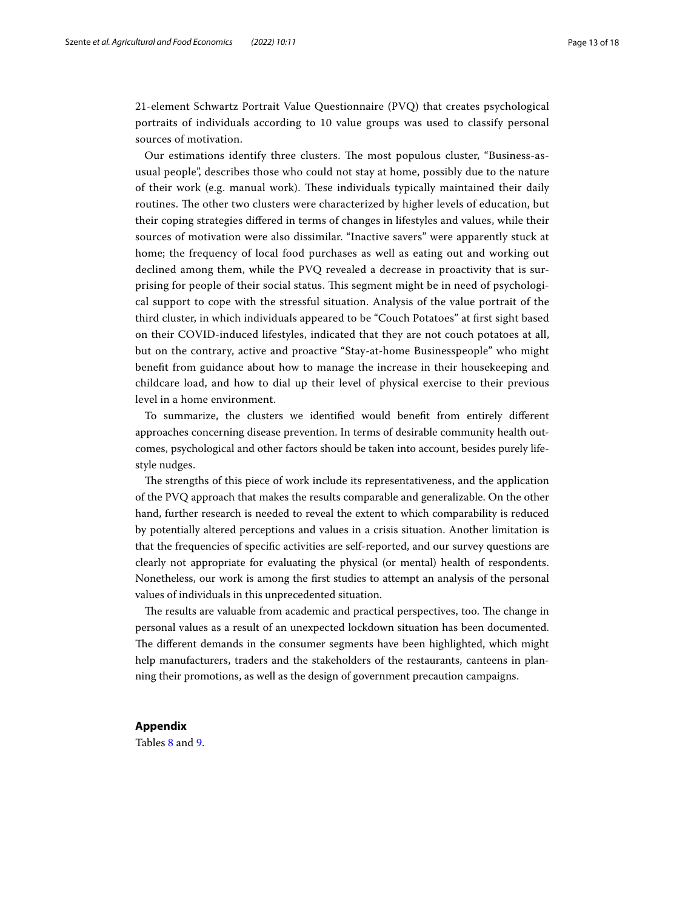21-element Schwartz Portrait Value Questionnaire (PVQ) that creates psychological portraits of individuals according to 10 value groups was used to classify personal sources of motivation.

Our estimations identify three clusters. The most populous cluster, "Business-asusual people", describes those who could not stay at home, possibly due to the nature of their work (e.g. manual work). Tese individuals typically maintained their daily routines. The other two clusters were characterized by higher levels of education, but their coping strategies difered in terms of changes in lifestyles and values, while their sources of motivation were also dissimilar. "Inactive savers" were apparently stuck at home; the frequency of local food purchases as well as eating out and working out declined among them, while the PVQ revealed a decrease in proactivity that is surprising for people of their social status. Tis segment might be in need of psychological support to cope with the stressful situation. Analysis of the value portrait of the third cluster, in which individuals appeared to be "Couch Potatoes" at frst sight based on their COVID-induced lifestyles, indicated that they are not couch potatoes at all, but on the contrary, active and proactive "Stay-at-home Businesspeople" who might beneft from guidance about how to manage the increase in their housekeeping and childcare load, and how to dial up their level of physical exercise to their previous level in a home environment.

To summarize, the clusters we identifed would beneft from entirely diferent approaches concerning disease prevention. In terms of desirable community health outcomes, psychological and other factors should be taken into account, besides purely lifestyle nudges.

The strengths of this piece of work include its representativeness, and the application of the PVQ approach that makes the results comparable and generalizable. On the other hand, further research is needed to reveal the extent to which comparability is reduced by potentially altered perceptions and values in a crisis situation. Another limitation is that the frequencies of specifc activities are self-reported, and our survey questions are clearly not appropriate for evaluating the physical (or mental) health of respondents. Nonetheless, our work is among the frst studies to attempt an analysis of the personal values of individuals in this unprecedented situation.

The results are valuable from academic and practical perspectives, too. The change in personal values as a result of an unexpected lockdown situation has been documented. The different demands in the consumer segments have been highlighted, which might help manufacturers, traders and the stakeholders of the restaurants, canteens in planning their promotions, as well as the design of government precaution campaigns.

# **Appendix**

Tables [8](#page-13-0) and [9.](#page-14-0)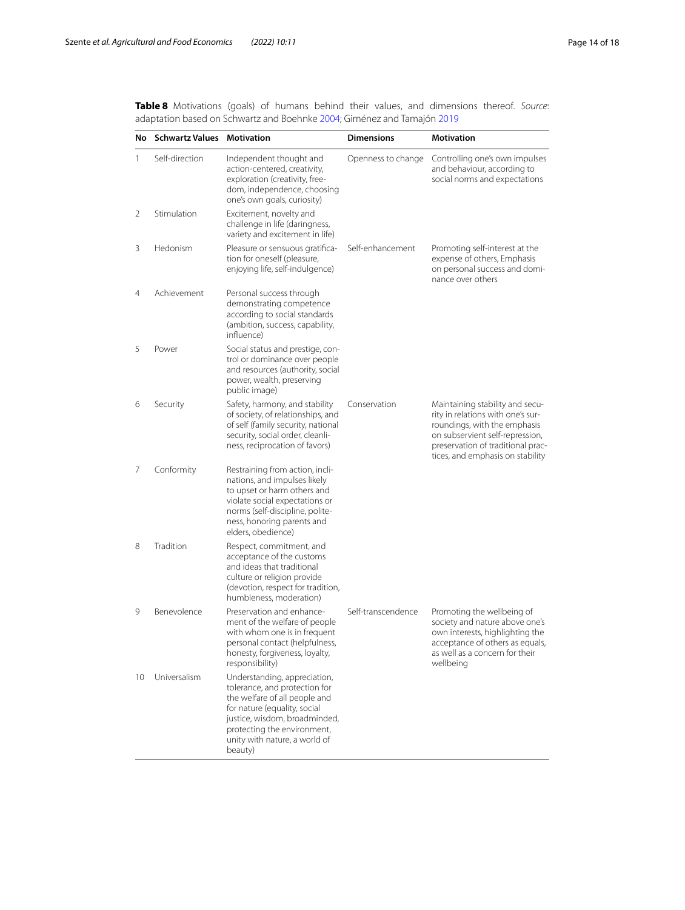<span id="page-13-0"></span>**Table 8** Motivations (goals) of humans behind their values, and dimensions thereof. *Source*: adaptation based on Schwartz and Boehnke [2004;](#page-17-18) Giménez and Tamajón [2019](#page-16-15)

| No           | <b>Schwartz Values Motivation</b> |                                                                                                                                                                                                                                            | <b>Dimensions</b>  | <b>Motivation</b>                                                                                                                                                                                                |
|--------------|-----------------------------------|--------------------------------------------------------------------------------------------------------------------------------------------------------------------------------------------------------------------------------------------|--------------------|------------------------------------------------------------------------------------------------------------------------------------------------------------------------------------------------------------------|
| $\mathbf{1}$ | Self-direction                    | Independent thought and<br>action-centered, creativity,<br>exploration (creativity, free-<br>dom, independence, choosing<br>one's own goals, curiosity)                                                                                    | Openness to change | Controlling one's own impulses<br>and behaviour, according to<br>social norms and expectations                                                                                                                   |
| 2            | Stimulation                       | Excitement, novelty and<br>challenge in life (daringness,<br>variety and excitement in life)                                                                                                                                               |                    |                                                                                                                                                                                                                  |
| 3            | Hedonism                          | Pleasure or sensuous gratifica-<br>tion for oneself (pleasure,<br>enjoying life, self-indulgence)                                                                                                                                          | Self-enhancement   | Promoting self-interest at the<br>expense of others, Emphasis<br>on personal success and domi-<br>nance over others                                                                                              |
| 4            | Achievement                       | Personal success through<br>demonstrating competence<br>according to social standards<br>(ambition, success, capability,<br>influence)                                                                                                     |                    |                                                                                                                                                                                                                  |
| 5            | Power                             | Social status and prestige, con-<br>trol or dominance over people<br>and resources (authority, social<br>power, wealth, preserving<br>public image)                                                                                        |                    |                                                                                                                                                                                                                  |
| 6            | Security                          | Safety, harmony, and stability<br>of society, of relationships, and<br>of self (family security, national<br>security, social order, cleanli-<br>ness, reciprocation of favors)                                                            | Conservation       | Maintaining stability and secu-<br>rity in relations with one's sur-<br>roundings, with the emphasis<br>on subservient self-repression,<br>preservation of traditional prac-<br>tices, and emphasis on stability |
| 7            | Conformity                        | Restraining from action, incli-<br>nations, and impulses likely<br>to upset or harm others and<br>violate social expectations or<br>norms (self-discipline, polite-<br>ness, honoring parents and<br>elders, obedience)                    |                    |                                                                                                                                                                                                                  |
| 8            | Tradition                         | Respect, commitment, and<br>acceptance of the customs<br>and ideas that traditional<br>culture or religion provide<br>(devotion, respect for tradition,<br>humbleness, moderation)                                                         |                    |                                                                                                                                                                                                                  |
| 9            | Benevolence                       | Preservation and enhance-<br>ment of the welfare of people<br>with whom one is in frequent<br>personal contact (helpfulness,<br>honesty, forgiveness, loyalty,<br>responsibility)                                                          | Self-transcendence | Promoting the wellbeing of<br>society and nature above one's<br>own interests, highlighting the<br>acceptance of others as equals,<br>as well as a concern for their<br>wellbeing                                |
| 10           | Universalism                      | Understanding, appreciation,<br>tolerance, and protection for<br>the welfare of all people and<br>for nature (equality, social<br>justice, wisdom, broadminded,<br>protecting the environment,<br>unity with nature, a world of<br>beauty) |                    |                                                                                                                                                                                                                  |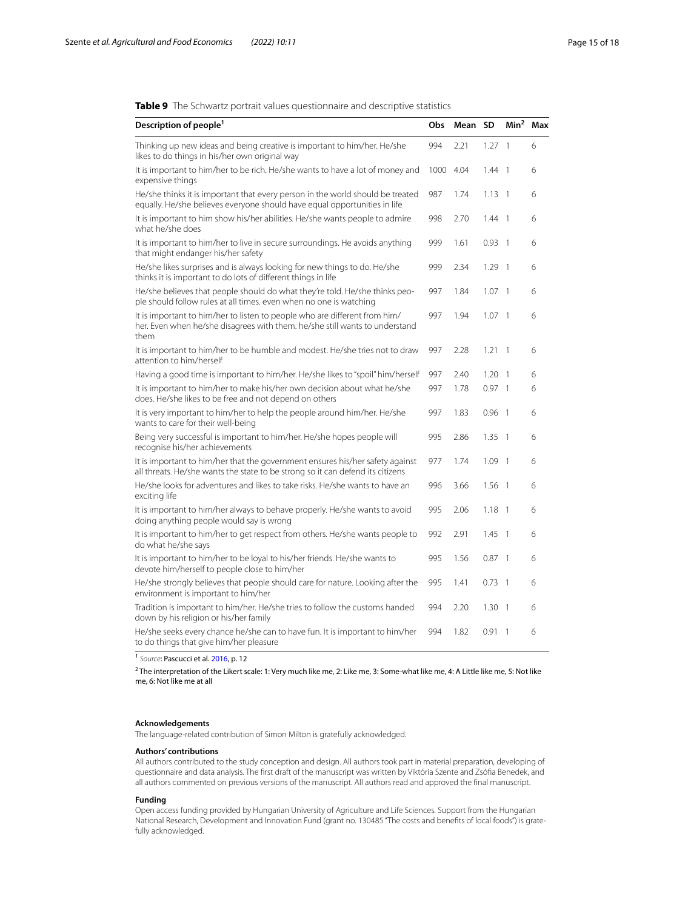<span id="page-14-0"></span>

| Description of people <sup>1</sup>                                                                                                                                | Obs  | Mean SD |          | Min <sup>2</sup>         | Max |
|-------------------------------------------------------------------------------------------------------------------------------------------------------------------|------|---------|----------|--------------------------|-----|
| Thinking up new ideas and being creative is important to him/her. He/she<br>likes to do things in his/her own original way                                        | 994  | 2.21    | 1.27     | $\mathbf{1}$             | 6   |
| It is important to him/her to be rich. He/she wants to have a lot of money and<br>expensive things                                                                | 1000 | 4.04    | 1.44     | $\overline{1}$           | 6   |
| He/she thinks it is important that every person in the world should be treated<br>equally. He/she believes everyone should have equal opportunities in life       | 987  | 1.74    | 1.13     | $\overline{1}$           | 6   |
| It is important to him show his/her abilities. He/she wants people to admire<br>what he/she does                                                                  | 998  | 2.70    | 1.44     | $\overline{1}$           | 6   |
| It is important to him/her to live in secure surroundings. He avoids anything<br>that might endanger his/her safety                                               | 999  | 1.61    | 0.93     | $\overline{1}$           | 6   |
| He/she likes surprises and is always looking for new things to do. He/she<br>thinks it is important to do lots of different things in life                        | 999  | 2.34    | 1.29     | $\overline{\phantom{0}}$ | 6   |
| He/she believes that people should do what they're told. He/she thinks peo-<br>ple should follow rules at all times, even when no one is watching                 | 997  | 1.84    | 1.07     | $\overline{\phantom{0}}$ | 6   |
| It is important to him/her to listen to people who are different from him/<br>her. Even when he/she disagrees with them. he/she still wants to understand<br>them | 997  | 1.94    | 1.07     | $\overline{1}$           | 6   |
| It is important to him/her to be humble and modest. He/she tries not to draw<br>attention to him/herself                                                          | 997  | 2.28    | 1.21     | $\overline{1}$           | 6   |
| Having a good time is important to him/her. He/she likes to "spoil" him/herself                                                                                   | 997  | 2.40    | 1.20     | $\mathbf{1}$             | 6   |
| It is important to him/her to make his/her own decision about what he/she<br>does. He/she likes to be free and not depend on others                               | 997  | 1.78    | 0.97     | $\overline{1}$           | 6   |
| It is very important to him/her to help the people around him/her. He/she<br>wants to care for their well-being                                                   | 997  | 1.83    | 0.96     | $\overline{\phantom{0}}$ | 6   |
| Being very successful is important to him/her. He/she hopes people will<br>recognise his/her achievements                                                         | 995  | 2.86    | 1.35     | $\overline{1}$           | 6   |
| It is important to him/her that the government ensures his/her safety against<br>all threats. He/she wants the state to be strong so it can defend its citizens   | 977  | 1.74    | 1.09     | $\overline{1}$           | 6   |
| He/she looks for adventures and likes to take risks. He/she wants to have an<br>exciting life                                                                     | 996  | 3.66    | $1.56$ 1 |                          | 6   |
| It is important to him/her always to behave properly. He/she wants to avoid<br>doing anything people would say is wrong                                           | 995  | 2.06    | 1.18     | $\overline{1}$           | 6   |
| It is important to him/her to get respect from others. He/she wants people to<br>do what he/she says                                                              | 992  | 2.91    | 1.45     | $\overline{1}$           | 6   |
| It is important to him/her to be loyal to his/her friends. He/she wants to<br>devote him/herself to people close to him/her                                       | 995  | 1.56    | 0.87     | $\overline{1}$           | 6   |
| He/she strongly believes that people should care for nature. Looking after the<br>environment is important to him/her                                             | 995  | 1.41    | 0.73     | $\overline{1}$           | 6   |
| Tradition is important to him/her. He/she tries to follow the customs handed<br>down by his religion or his/her family                                            | 994  | 2.20    | 1.30     | $\overline{1}$           | 6   |
| He/she seeks every chance he/she can to have fun. It is important to him/her<br>to do things that give him/her pleasure                                           | 994  | 1.82    | 0.91     | $\overline{1}$           | 6   |

<sup>1</sup> *Source*: Pascucci et al. [2016](#page-16-27), p. 12

 $^2$ The interpretation of the Likert scale: 1:Very much like me, 2: Like me, 3: Some-what like me, 4: A Little like me, 5: Not like me, 6: Not like me at all

#### **Acknowledgements**

The language-related contribution of Simon Milton is gratefully acknowledged.

#### **Authors' contributions**

All authors contributed to the study conception and design. All authors took part in material preparation, developing of questionnaire and data analysis. The frst draft of the manuscript was written by Viktória Szente and Zsófa Benedek, and all authors commented on previous versions of the manuscript. All authors read and approved the fnal manuscript.

#### **Funding**

Open access funding provided by Hungarian University of Agriculture and Life Sciences. Support from the Hungarian National Research, Development and Innovation Fund (grant no. 130485 "The costs and benefts of local foods") is gratefully acknowledged.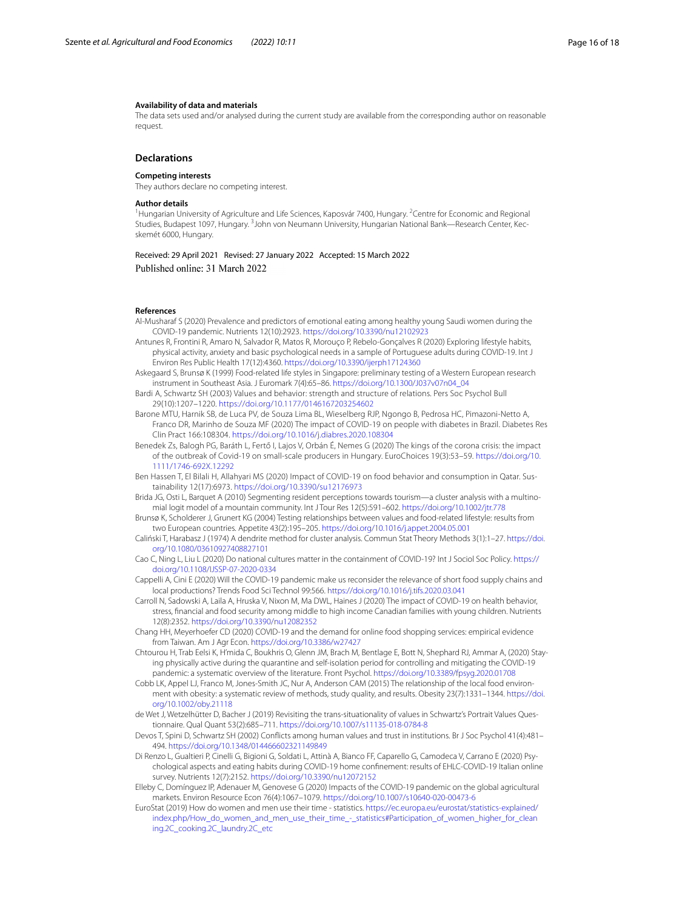#### **Availability of data and materials**

The data sets used and/or analysed during the current study are available from the corresponding author on reasonable request.

#### **Declarations**

#### **Competing interests**

They authors declare no competing interest.

#### **Author details**

<sup>1</sup> Hungarian University of Agriculture and Life Sciences, Kaposvár 7400, Hungary. <sup>2</sup>Centre for Economic and Regional Studies, Budapest 1097, Hungary. <sup>3</sup>John von Neumann University, Hungarian National Bank—Research Center, Kecskemét 6000, Hungary.

Received: 29 April 2021 Revised: 27 January 2022 Accepted: 15 March 2022 Published online: 31 March 2022

#### **References**

- <span id="page-15-13"></span>Al-Musharaf S (2020) Prevalence and predictors of emotional eating among healthy young Saudi women during the COVID-19 pandemic. Nutrients 12(10):2923.<https://doi.org/10.3390/nu12102923>
- <span id="page-15-14"></span>Antunes R, Frontini R, Amaro N, Salvador R, Matos R, Morouço P, Rebelo-Gonçalves R (2020) Exploring lifestyle habits, physical activity, anxiety and basic psychological needs in a sample of Portuguese adults during COVID-19. Int J Environ Res Public Health 17(12):4360.<https://doi.org/10.3390/ijerph17124360>
- <span id="page-15-11"></span>Askegaard S, Brunsø K (1999) Food-related life styles in Singapore: preliminary testing of a Western European research instrument in Southeast Asia. J Euromark 7(4):65–86. [https://doi.org/10.1300/J037v07n04\\_04](https://doi.org/10.1300/J037v07n04_04)
- <span id="page-15-10"></span>Bardi A, Schwartz SH (2003) Values and behavior: strength and structure of relations. Pers Soc Psychol Bull 29(10):1207–1220.<https://doi.org/10.1177/0146167203254602>
- <span id="page-15-3"></span>Barone MTU, Harnik SB, de Luca PV, de Souza Lima BL, Wieselberg RJP, Ngongo B, Pedrosa HC, Pimazoni-Netto A, Franco DR, Marinho de Souza MF (2020) The impact of COVID-19 on people with diabetes in Brazil. Diabetes Res Clin Pract 166:108304. <https://doi.org/10.1016/j.diabres.2020.108304>
- <span id="page-15-20"></span>Benedek Zs, Balogh PG, Baráth L, Fertő I, Lajos V, Orbán É, Nemes G (2020) The kings of the corona crisis: the impact of the outbreak of Covid-19 on small-scale producers in Hungary. EuroChoices 19(3):53–59. [https://doi.org/10.](https://doi.org/10.1111/1746-692X.12292) [1111/1746-692X.12292](https://doi.org/10.1111/1746-692X.12292)
- <span id="page-15-2"></span>Ben Hassen T, El Bilali H, Allahyari MS (2020) Impact of COVID-19 on food behavior and consumption in Qatar. Sustainability 12(17):6973. <https://doi.org/10.3390/su12176973>
- <span id="page-15-16"></span>Brida JG, Osti L, Barquet A (2010) Segmenting resident perceptions towards tourism—a cluster analysis with a multinomial logit model of a mountain community. Int J Tour Res 12(5):591–602. <https://doi.org/10.1002/jtr.778>
- <span id="page-15-12"></span>Brunsø K, Scholderer J, Grunert KG (2004) Testing relationships between values and food-related lifestyle: results from two European countries. Appetite 43(2):195–205. <https://doi.org/10.1016/j.appet.2004.05.001>
- <span id="page-15-15"></span>Caliński T, Harabasz J (1974) A dendrite method for cluster analysis. Commun Stat Theory Methods 3(1):1–27. [https://doi.](https://doi.org/10.1080/03610927408827101) [org/10.1080/03610927408827101](https://doi.org/10.1080/03610927408827101)
- <span id="page-15-8"></span>Cao C, Ning L, Liu L (2020) Do national cultures matter in the containment of COVID-19? Int J Sociol Soc Policy. [https://](https://doi.org/10.1108/IJSSP-07-2020-0334) [doi.org/10.1108/IJSSP-07-2020-0334](https://doi.org/10.1108/IJSSP-07-2020-0334)

<span id="page-15-7"></span>Cappelli A, Cini E (2020) Will the COVID-19 pandemic make us reconsider the relevance of short food supply chains and local productions? Trends Food Sci Technol 99:566. <https://doi.org/10.1016/j.tifs.2020.03.041>

- <span id="page-15-4"></span>Carroll N, Sadowski A, Laila A, Hruska V, Nixon M, Ma DWL, Haines J (2020) The impact of COVID-19 on health behavior, stress, fnancial and food security among middle to high income Canadian families with young children. Nutrients 12(8):2352.<https://doi.org/10.3390/nu12082352>
- <span id="page-15-0"></span>Chang HH, Meyerhoefer CD (2020) COVID-19 and the demand for online food shopping services: empirical evidence from Taiwan. Am J Agr Econ.<https://doi.org/10.3386/w27427>
- <span id="page-15-1"></span>Chtourou H, Trab Eelsi K, H'mida C, Boukhris O, Glenn JM, Brach M, Bentlage E, Bott N, Shephard RJ, Ammar A, (2020) Staying physically active during the quarantine and self-isolation period for controlling and mitigating the COVID-19 pandemic: a systematic overview of the literature. Front Psychol. <https://doi.org/10.3389/fpsyg.2020.01708>
- <span id="page-15-19"></span>Cobb LK, Appel LJ, Franco M, Jones-Smith JC, Nur A, Anderson CAM (2015) The relationship of the local food environment with obesity: a systematic review of methods, study quality, and results. Obesity 23(7):1331–1344. [https://doi.](https://doi.org/10.1002/oby.21118) [org/10.1002/oby.21118](https://doi.org/10.1002/oby.21118)
- <span id="page-15-17"></span>de Wet J, Wetzelhütter D, Bacher J (2019) Revisiting the trans-situationality of values in Schwartz's Portrait Values Questionnaire. Qual Quant 53(2):685–711.<https://doi.org/10.1007/s11135-018-0784-8>
- <span id="page-15-9"></span>Devos T, Spini D, Schwartz SH (2002) Conficts among human values and trust in institutions. Br J Soc Psychol 41(4):481– 494. <https://doi.org/10.1348/014466602321149849>
- <span id="page-15-5"></span>Di Renzo L, Gualtieri P, Cinelli G, Bigioni G, Soldati L, Attinà A, Bianco FF, Caparello G, Camodeca V, Carrano E (2020) Psychological aspects and eating habits during COVID-19 home confnement: results of EHLC-COVID-19 Italian online survey. Nutrients 12(7):2152.<https://doi.org/10.3390/nu12072152>
- <span id="page-15-6"></span>Elleby C, Domínguez IP, Adenauer M, Genovese G (2020) Impacts of the COVID-19 pandemic on the global agricultural markets. Environ Resource Econ 76(4):1067–1079.<https://doi.org/10.1007/s10640-020-00473-6>
- <span id="page-15-18"></span>EuroStat (2019) How do women and men use their time - statistics. [https://ec.europa.eu/eurostat/statistics-explained/](https://ec.europa.eu/eurostat/statistics-explained/index.php/How_do_women_and_men_use_their_time_-_statistics#Participation_of_women_higher_for_cleaning.2C_cooking.2C_laundry.2C_etc) [index.php/How\\_do\\_women\\_and\\_men\\_use\\_their\\_time\\_-\\_statistics#Participation\\_of\\_women\\_higher\\_for\\_clean](https://ec.europa.eu/eurostat/statistics-explained/index.php/How_do_women_and_men_use_their_time_-_statistics#Participation_of_women_higher_for_cleaning.2C_cooking.2C_laundry.2C_etc) [ing.2C\\_cooking.2C\\_laundry.2C\\_etc](https://ec.europa.eu/eurostat/statistics-explained/index.php/How_do_women_and_men_use_their_time_-_statistics#Participation_of_women_higher_for_cleaning.2C_cooking.2C_laundry.2C_etc)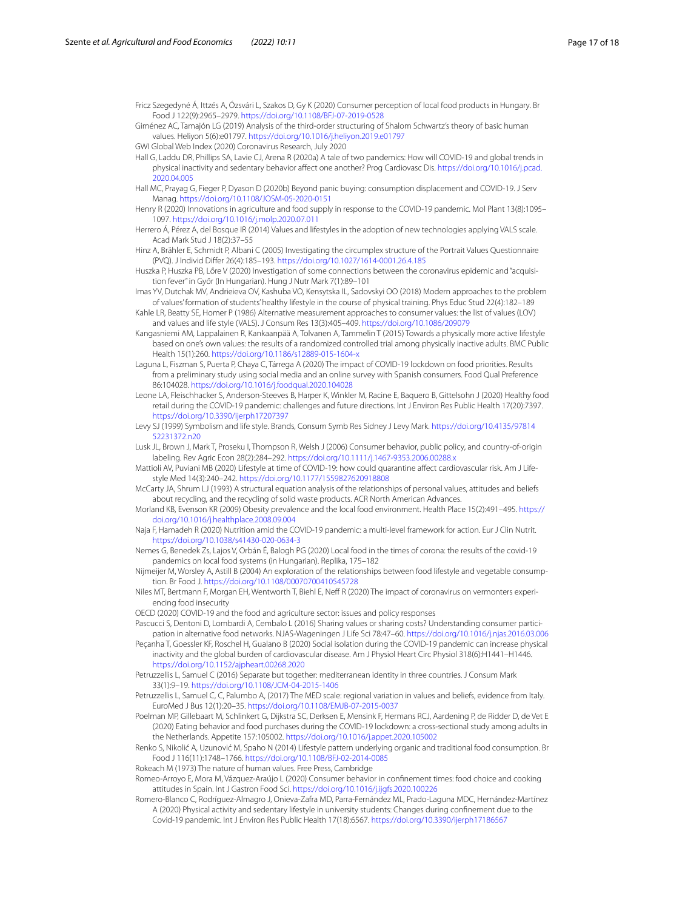<span id="page-16-30"></span>Fricz Szegedyné Á, Ittzés A, Ózsvári L, Szakos D, Gy K (2020) Consumer perception of local food products in Hungary. Br Food J 122(9):2965–2979. <https://doi.org/10.1108/BFJ-07-2019-0528>

<span id="page-16-15"></span>Giménez AC, Tamajón LG (2019) Analysis of the third-order structuring of Shalom Schwartz's theory of basic human values. Heliyon 5(6):e01797.<https://doi.org/10.1016/j.heliyon.2019.e01797>

<span id="page-16-7"></span>GWI Global Web Index (2020) Coronavirus Research, July 2020

<span id="page-16-3"></span>Hall G, Laddu DR, Phillips SA, Lavie CJ, Arena R (2020a) A tale of two pandemics: How will COVID-19 and global trends in physical inactivity and sedentary behavior affect one another? Prog Cardiovasc Dis. [https://doi.org/10.1016/j.pcad.](https://doi.org/10.1016/j.pcad.2020.04.005) [2020.04.005](https://doi.org/10.1016/j.pcad.2020.04.005)

<span id="page-16-4"></span>Hall MC, Prayag G, Fieger P, Dyason D (2020b) Beyond panic buying: consumption displacement and COVID-19. J Serv Manag.<https://doi.org/10.1108/JOSM-05-2020-0151>

- <span id="page-16-12"></span>Henry R (2020) Innovations in agriculture and food supply in response to the COVID-19 pandemic. Mol Plant 13(8):1095– 1097.<https://doi.org/10.1016/j.molp.2020.07.011>
- <span id="page-16-21"></span>Herrero Á, Pérez A, del Bosque IR (2014) Values and lifestyles in the adoption of new technologies applying VALS scale. Acad Mark Stud J 18(2):37–55

<span id="page-16-16"></span>Hinz A, Brähler E, Schmidt P, Albani C (2005) Investigating the circumplex structure of the Portrait Values Questionnaire (PVQ). J Individ Difer 26(4):185–193.<https://doi.org/10.1027/1614-0001.26.4.185>

- <span id="page-16-6"></span>Huszka P, Huszka PB, Lőre V (2020) Investigation of some connections between the coronavirus epidemic and "acquisition fever" in Győr (In Hungarian). Hung J Nutr Mark 7(1):89–101
- <span id="page-16-24"></span>Imas YV, Dutchak MV, Andrieieva OV, Kashuba VO, Kensytska IL, Sadovskyi OO (2018) Modern approaches to the problem of values' formation of students' healthy lifestyle in the course of physical training. Phys Educ Stud 22(4):182–189
- <span id="page-16-19"></span>Kahle LR, Beatty SE, Homer P (1986) Alternative measurement approaches to consumer values: the list of values (LOV) and values and life style (VALS). J Consum Res 13(3):405–409. <https://doi.org/10.1086/209079>
- <span id="page-16-25"></span>Kangasniemi AM, Lappalainen R, Kankaanpää A, Tolvanen A, Tammelin T (2015) Towards a physically more active lifestyle based on one's own values: the results of a randomized controlled trial among physically inactive adults. BMC Public Health 15(1):260.<https://doi.org/10.1186/s12889-015-1604-x>
- <span id="page-16-0"></span>Laguna L, Fiszman S, Puerta P, Chaya C, Tárrega A (2020) The impact of COVID-19 lockdown on food priorities. Results from a preliminary study using social media and an online survey with Spanish consumers. Food Qual Preference 86:104028.<https://doi.org/10.1016/j.foodqual.2020.104028>
- <span id="page-16-1"></span>Leone LA, Fleischhacker S, Anderson-Steeves B, Harper K, Winkler M, Racine E, Baquero B, Gittelsohn J (2020) Healthy food retail during the COVID-19 pandemic: challenges and future directions. Int J Environ Res Public Health 17(20):7397. <https://doi.org/10.3390/ijerph17207397>
- <span id="page-16-18"></span>Levy SJ (1999) Symbolism and life style. Brands, Consum Symb Res Sidney J Levy Mark. [https://doi.org/10.4135/97814](https://doi.org/10.4135/9781452231372.n20) [52231372.n20](https://doi.org/10.4135/9781452231372.n20)
- <span id="page-16-17"></span>Lusk JL, Brown J, Mark T, Proseku I, Thompson R, Welsh J (2006) Consumer behavior, public policy, and country-of-origin labeling. Rev Agric Econ 28(2):284–292. <https://doi.org/10.1111/j.1467-9353.2006.00288.x>

<span id="page-16-9"></span>Mattioli AV, Puviani MB (2020) Lifestyle at time of COVID-19: how could quarantine afect cardiovascular risk. Am J Lifestyle Med 14(3):240–242.<https://doi.org/10.1177/1559827620918808>

<span id="page-16-20"></span>McCarty JA, Shrum LJ (1993) A structural equation analysis of the relationships of personal values, attitudes and beliefs about recycling, and the recycling of solid waste products. ACR North American Advances.

<span id="page-16-31"></span>Morland KB, Evenson KR (2009) Obesity prevalence and the local food environment. Health Place 15(2):491–495. [https://](https://doi.org/10.1016/j.healthplace.2008.09.004) [doi.org/10.1016/j.healthplace.2008.09.004](https://doi.org/10.1016/j.healthplace.2008.09.004)

<span id="page-16-2"></span>Naja F, Hamadeh R (2020) Nutrition amid the COVID-19 pandemic: a multi-level framework for action. Eur J Clin Nutrit. <https://doi.org/10.1038/s41430-020-0634-3>

<span id="page-16-32"></span>Nemes G, Benedek Zs, Lajos V, Orbán É, Balogh PG (2020) Local food in the times of corona: the results of the covid-19 pandemics on local food systems (in Hungarian). Replika, 175–182

<span id="page-16-23"></span>Nijmeijer M, Worsley A, Astill B (2004) An exploration of the relationships between food lifestyle and vegetable consumption. Br Food J.<https://doi.org/10.1108/00070700410545728>

<span id="page-16-13"></span>Niles MT, Bertmann F, Morgan EH, Wentworth T, Biehl E, Nef R (2020) The impact of coronavirus on vermonters experiencing food insecurity

<span id="page-16-11"></span>OECD (2020) COVID-19 and the food and agriculture sector: issues and policy responses

<span id="page-16-27"></span>Pascucci S, Dentoni D, Lombardi A, Cembalo L (2016) Sharing values or sharing costs? Understanding consumer participation in alternative food networks. NJAS-Wageningen J Life Sci 78:47–60. <https://doi.org/10.1016/j.njas.2016.03.006>

<span id="page-16-10"></span>Peçanha T, Goessler KF, Roschel H, Gualano B (2020) Social isolation during the COVID-19 pandemic can increase physical inactivity and the global burden of cardiovascular disease. Am J Physiol Heart Circ Physiol 318(6):H1441–H1446. <https://doi.org/10.1152/ajpheart.00268.2020>

<span id="page-16-28"></span>Petruzzellis L, Samuel C (2016) Separate but together: mediterranean identity in three countries. J Consum Mark 33(1):9–19. <https://doi.org/10.1108/JCM-04-2015-1406>

<span id="page-16-29"></span>Petruzzellis L, Samuel C, C, Palumbo A, (2017) The MED scale: regional variation in values and beliefs, evidence from Italy. EuroMed J Bus 12(1):20–35.<https://doi.org/10.1108/EMJB-07-2015-0037>

<span id="page-16-5"></span>Poelman MP, Gillebaart M, Schlinkert G, Dijkstra SC, Derksen E, Mensink F, Hermans RCJ, Aardening P, de Ridder D, de Vet E (2020) Eating behavior and food purchases during the COVID-19 lockdown: a cross-sectional study among adults in the Netherlands. Appetite 157:105002. <https://doi.org/10.1016/j.appet.2020.105002>

<span id="page-16-22"></span>Renko S, Nikolić A, Uzunović M, Spaho N (2014) Lifestyle pattern underlying organic and traditional food consumption. Br Food J 116(11):1748–1766.<https://doi.org/10.1108/BFJ-02-2014-0085>

<span id="page-16-14"></span>Rokeach M (1973) The nature of human values. Free Press, Cambridge

<span id="page-16-26"></span>Romeo-Arroyo E, Mora M, Vázquez-Araújo L (2020) Consumer behavior in confnement times: food choice and cooking attitudes in Spain. Int J Gastron Food Sci. <https://doi.org/10.1016/j.ijgfs.2020.100226>

<span id="page-16-8"></span>Romero-Blanco C, Rodríguez-Almagro J, Onieva-Zafra MD, Parra-Fernández ML, Prado-Laguna MDC, Hernández-Martínez A (2020) Physical activity and sedentary lifestyle in university students: Changes during confnement due to the Covid-19 pandemic. Int J Environ Res Public Health 17(18):6567. <https://doi.org/10.3390/ijerph17186567>